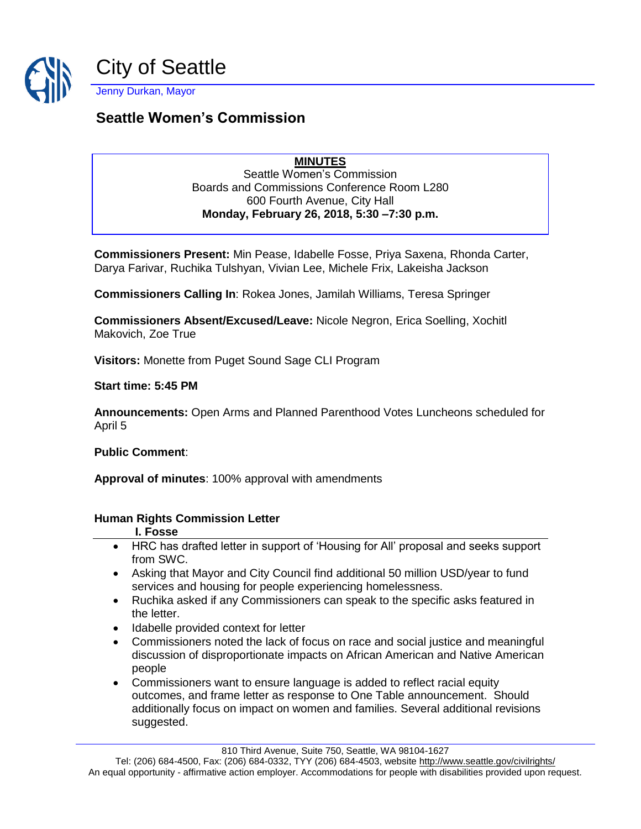

# **Seattle Women's Commission**

**MINUTES** Seattle Women's Commission Boards and Commissions Conference Room L280 600 Fourth Avenue, City Hall **Monday, February 26, 2018, 5:30 –7:30 p.m.**

**Commissioners Present:** Min Pease, Idabelle Fosse, Priya Saxena, Rhonda Carter, Darya Farivar, Ruchika Tulshyan, Vivian Lee, Michele Frix, Lakeisha Jackson

**Commissioners Calling In**: Rokea Jones, Jamilah Williams, Teresa Springer

**Commissioners Absent/Excused/Leave:** Nicole Negron, Erica Soelling, Xochitl Makovich, Zoe True

**Visitors:** Monette from Puget Sound Sage CLI Program

**Start time: 5:45 PM**

**Announcements:** Open Arms and Planned Parenthood Votes Luncheons scheduled for April 5

**Public Comment**:

**Approval of minutes**: 100% approval with amendments

#### **Human Rights Commission Letter**

- **I. Fosse**
- HRC has drafted letter in support of 'Housing for All' proposal and seeks support from SWC.
- Asking that Mayor and City Council find additional 50 million USD/year to fund services and housing for people experiencing homelessness.
- Ruchika asked if any Commissioners can speak to the specific asks featured in the letter.
- Idabelle provided context for letter
- Commissioners noted the lack of focus on race and social justice and meaningful discussion of disproportionate impacts on African American and Native American people
- Commissioners want to ensure language is added to reflect racial equity outcomes, and frame letter as response to One Table announcement. Should additionally focus on impact on women and families. Several additional revisions suggested.

810 Third Avenue, Suite 750, Seattle, WA 98104-1627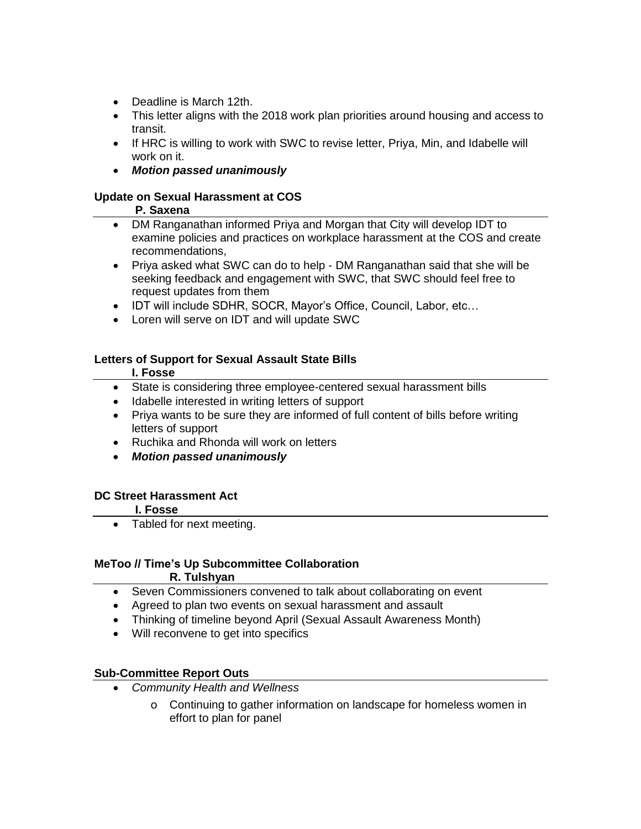- Deadline is March 12th.
- This letter aligns with the 2018 work plan priorities around housing and access to transit.
- If HRC is willing to work with SWC to revise letter, Priya, Min, and Idabelle will work on it.
- *Motion passed unanimously*

#### **Update on Sexual Harassment at COS**

#### **P. Saxena**

- DM Ranganathan informed Priya and Morgan that City will develop IDT to examine policies and practices on workplace harassment at the COS and create recommendations,
- Priya asked what SWC can do to help DM Ranganathan said that she will be seeking feedback and engagement with SWC, that SWC should feel free to request updates from them
- IDT will include SDHR, SOCR, Mayor's Office, Council, Labor, etc…
- Loren will serve on IDT and will update SWC

#### **Letters of Support for Sexual Assault State Bills**

#### **I. Fosse**

- State is considering three employee-centered sexual harassment bills
- Idabelle interested in writing letters of support
- Priya wants to be sure they are informed of full content of bills before writing letters of support
- Ruchika and Rhonda will work on letters
- *Motion passed unanimously*

#### **DC Street Harassment Act**

#### **I. Fosse**

• Tabled for next meeting.

## **MeToo // Time's Up Subcommittee Collaboration**

#### **R. Tulshyan**

- Seven Commissioners convened to talk about collaborating on event
- Agreed to plan two events on sexual harassment and assault
- Thinking of timeline beyond April (Sexual Assault Awareness Month)
- Will reconvene to get into specifics

#### **Sub-Committee Report Outs**

- *Community Health and Wellness*
	- o Continuing to gather information on landscape for homeless women in effort to plan for panel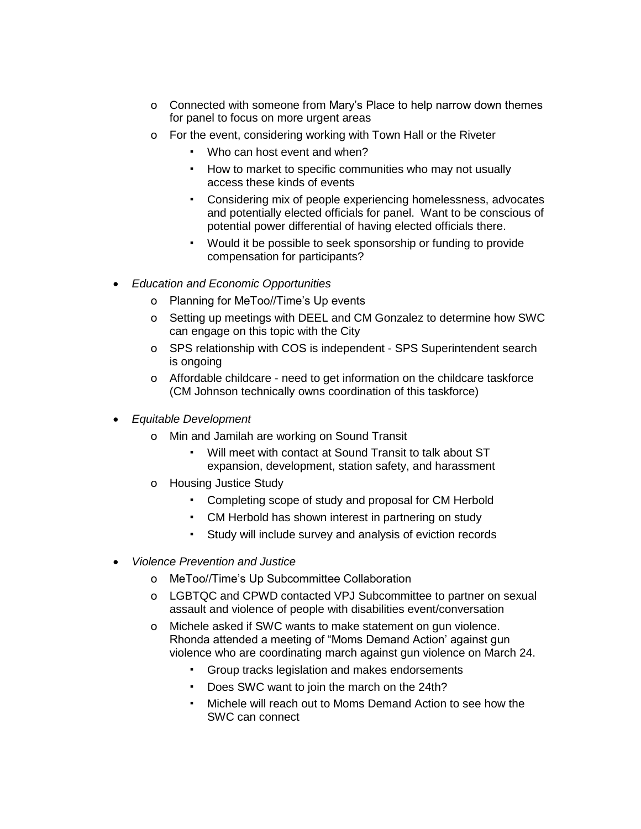- o Connected with someone from Mary's Place to help narrow down themes for panel to focus on more urgent areas
- o For the event, considering working with Town Hall or the Riveter
	- Who can host event and when?
	- How to market to specific communities who may not usually access these kinds of events
	- Considering mix of people experiencing homelessness, advocates and potentially elected officials for panel. Want to be conscious of potential power differential of having elected officials there.
	- Would it be possible to seek sponsorship or funding to provide compensation for participants?
- *Education and Economic Opportunities*
	- o Planning for MeToo//Time's Up events
	- o Setting up meetings with DEEL and CM Gonzalez to determine how SWC can engage on this topic with the City
	- o SPS relationship with COS is independent SPS Superintendent search is ongoing
	- o Affordable childcare need to get information on the childcare taskforce (CM Johnson technically owns coordination of this taskforce)
- *Equitable Development*
	- o Min and Jamilah are working on Sound Transit
		- Will meet with contact at Sound Transit to talk about ST expansion, development, station safety, and harassment
	- o Housing Justice Study
		- Completing scope of study and proposal for CM Herbold
		- CM Herbold has shown interest in partnering on study
		- Study will include survey and analysis of eviction records
- *Violence Prevention and Justice*
	- o MeToo//Time's Up Subcommittee Collaboration
	- o LGBTQC and CPWD contacted VPJ Subcommittee to partner on sexual assault and violence of people with disabilities event/conversation
	- o Michele asked if SWC wants to make statement on gun violence. Rhonda attended a meeting of "Moms Demand Action' against gun violence who are coordinating march against gun violence on March 24.
		- Group tracks legislation and makes endorsements
		- Does SWC want to join the march on the 24th?
		- Michele will reach out to Moms Demand Action to see how the SWC can connect